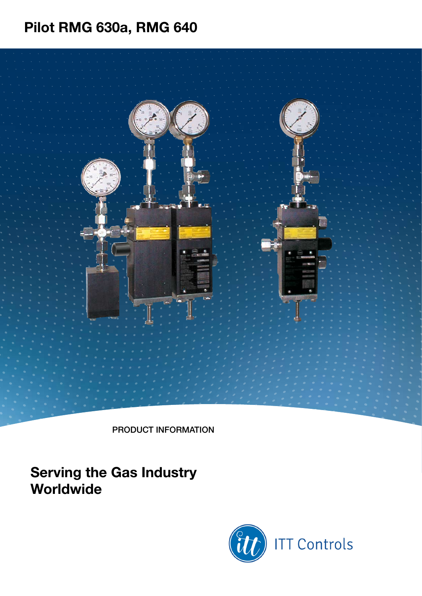product information

## **Serving the Gas Industry Worldwide**

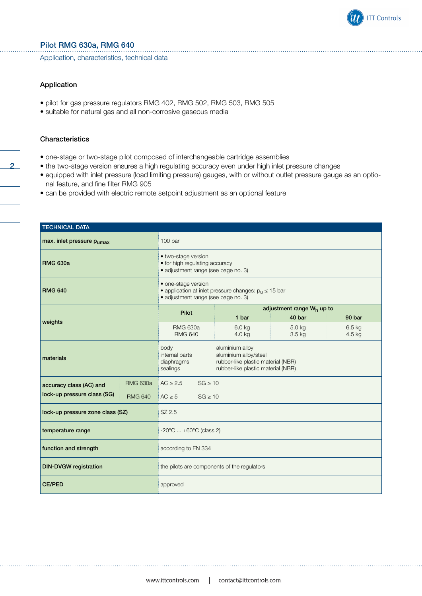

Application, characteristics, technical data

#### Application

- pilot for gas pressure regulators RMG 402, RMG 502, RMG 503, RMG 505
- suitable for natural gas and all non-corrosive gaseous media

#### **Characteristics**

2

- one-stage or two-stage pilot composed of interchangeable cartridge assemblies
- the two-stage version ensures a high regulating accuracy even under high inlet pressure changes
- equipped with inlet pressure (load limiting pressure) gauges, with or without outlet pressure gauge as an optional feature, and fine filter RMG 905
- can be provided with electric remote setpoint adjustment as an optional feature

| <b>TECHNICAL DATA</b>                         |                 |                                                                                                                                                                          |                  |                    |                                                 |  |  |  |  |
|-----------------------------------------------|-----------------|--------------------------------------------------------------------------------------------------------------------------------------------------------------------------|------------------|--------------------|-------------------------------------------------|--|--|--|--|
| max. inlet pressure $p_{\text{umax}}$         |                 | 100 bar                                                                                                                                                                  |                  |                    |                                                 |  |  |  |  |
| <b>RMG 630a</b>                               |                 | • two-stage version<br>• for high regulating accuracy<br>· adjustment range (see page no. 3)                                                                             |                  |                    |                                                 |  |  |  |  |
| <b>RMG 640</b>                                |                 | • one-stage version<br>• application at inlet pressure changes: $p_u \le 15$ bar<br>· adjustment range (see page no. 3)                                                  |                  |                    |                                                 |  |  |  |  |
|                                               |                 | Pilot                                                                                                                                                                    | 1 bar            | 40 bar             | adjustment range W <sub>h</sub> up to<br>90 bar |  |  |  |  |
| weights                                       |                 | <b>RMG 630a</b><br><b>RMG 640</b>                                                                                                                                        | 6.0 kg<br>4.0 kg | 5.0 kg<br>$3.5$ kg | 6.5 kg<br>4.5 kg                                |  |  |  |  |
| materials                                     |                 | body<br>aluminium alloy<br>internal parts<br>aluminium alloy/steel<br>diaphragms<br>rubber-like plastic material (NBR)<br>rubber-like plastic material (NBR)<br>sealings |                  |                    |                                                 |  |  |  |  |
| accuracy class (AC) and                       | <b>RMG 630a</b> | $AC \ge 2.5$<br>$SG \geq 10$                                                                                                                                             |                  |                    |                                                 |  |  |  |  |
| lock-up pressure class (SG)<br><b>RMG 640</b> |                 | $AC \ge 5$<br>$SG \geq 10$                                                                                                                                               |                  |                    |                                                 |  |  |  |  |
| lock-up pressure zone class (SZ)              |                 | SZ 2.5                                                                                                                                                                   |                  |                    |                                                 |  |  |  |  |
| temperature range                             |                 | $-20^{\circ}$ C $+60^{\circ}$ C (class 2)                                                                                                                                |                  |                    |                                                 |  |  |  |  |
| function and strength                         |                 | according to EN 334                                                                                                                                                      |                  |                    |                                                 |  |  |  |  |
| <b>DIN-DVGW</b> registration                  |                 | the pilots are components of the regulators                                                                                                                              |                  |                    |                                                 |  |  |  |  |
| <b>CE/PED</b>                                 |                 | approved                                                                                                                                                                 |                  |                    |                                                 |  |  |  |  |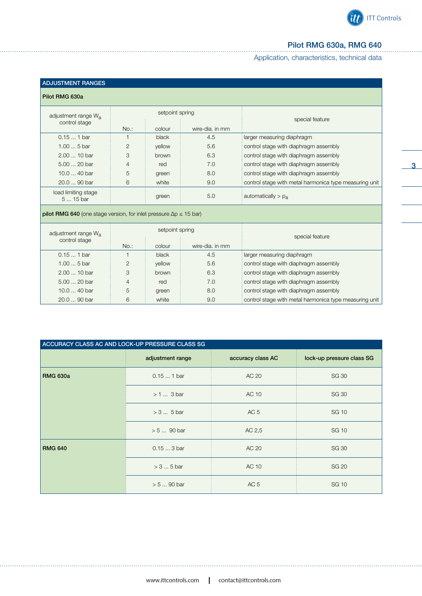

3

### Pilot RMG 630a, RMG 640

Application, characteristics, technical data

| <b>ADJUSTMENT RANGES</b><br>Pilot RMG 630a                                         |                 |                 |                 |                                                        |  |  |  |  |
|------------------------------------------------------------------------------------|-----------------|-----------------|-----------------|--------------------------------------------------------|--|--|--|--|
| adjustment range W <sub>a</sub>                                                    |                 | setpoint spring |                 | special feature                                        |  |  |  |  |
| control stage                                                                      | $No.$ :         | colour          | wire-dia, in mm |                                                        |  |  |  |  |
| $0.151$ bar                                                                        | 1               | black           | 4.5             | larger measuring diaphragm                             |  |  |  |  |
| $1.005$ bar                                                                        | $\overline{2}$  | yellow          | 5.6             | control stage with diaphragm assembly                  |  |  |  |  |
| 2.00  10 bar                                                                       | 3               | brown           | 6.3             | control stage with diaphragm assembly                  |  |  |  |  |
| 5.00  20 bar                                                                       | 4               | red             | 7.0             | control stage with diaphragm assembly                  |  |  |  |  |
| $10.040$ bar                                                                       | 5               | green           | 8.0             | control stage with diaphragm assembly                  |  |  |  |  |
| 20.0  90 bar                                                                       | 6               | white           | 9.0             | control stage with metal harmonica type measuring unit |  |  |  |  |
| load limiting stage<br>5  15 bar                                                   |                 | green           | 5.0             | automatically $> p_a$                                  |  |  |  |  |
| <b>pilot RMG 640</b> (one stage version, for inlet pressure $\Delta p \le 15$ bar) |                 |                 |                 |                                                        |  |  |  |  |
| adjustment range W <sub>a</sub><br>control stage                                   | setpoint spring |                 |                 | special feature                                        |  |  |  |  |
|                                                                                    | $No.$ :         | colour          | wire-dia, in mm |                                                        |  |  |  |  |
| $0.151$ bar                                                                        | $\mathbf{1}$    | black           | 4.5             | larger measuring diaphragm                             |  |  |  |  |
| $1.005$ bar                                                                        | $\overline{2}$  | vellow          | 5.6             | control stage with diaphragm assembly                  |  |  |  |  |
| 2.00  10 bar                                                                       | 3               | brown           | 6.3             | control stage with diaphragm assembly                  |  |  |  |  |
| 5.00  20 bar                                                                       | 4               | red             | 7.0             | control stage with diaphragm assembly                  |  |  |  |  |
| 10.0  40 bar                                                                       | 5               | green           | 8.0             | control stage with diaphragm assembly                  |  |  |  |  |
| 20.0  90 bar                                                                       | 6               | white           | 9.0             | control stage with metal harmonica type measuring unit |  |  |  |  |

| ACCURACY CLASS AC AND LOCK-UP PRESSURE CLASS SG |                  |                   |                           |  |  |  |  |  |  |
|-------------------------------------------------|------------------|-------------------|---------------------------|--|--|--|--|--|--|
|                                                 | adjustment range | accuracy class AC | lock-up pressure class SG |  |  |  |  |  |  |
| <b>RMG 630a</b>                                 | $0.151$ bar      | AC 20             | <b>SG 30</b>              |  |  |  |  |  |  |
|                                                 | > 1  3 bar       | AC 10             | <b>SG 30</b>              |  |  |  |  |  |  |
|                                                 | $> 3  5$ bar     | AC <sub>5</sub>   | <b>SG 10</b>              |  |  |  |  |  |  |
|                                                 | $> 590$ bar      | AC 2,5            | <b>SG 10</b>              |  |  |  |  |  |  |
| <b>RMG 640</b>                                  | $0.153$ bar      | AC 20             | <b>SG 30</b>              |  |  |  |  |  |  |
|                                                 | $> 3 5$ bar      | AC 10             | <b>SG 20</b>              |  |  |  |  |  |  |
|                                                 | $> 590$ bar      | AC <sub>5</sub>   | <b>SG 10</b>              |  |  |  |  |  |  |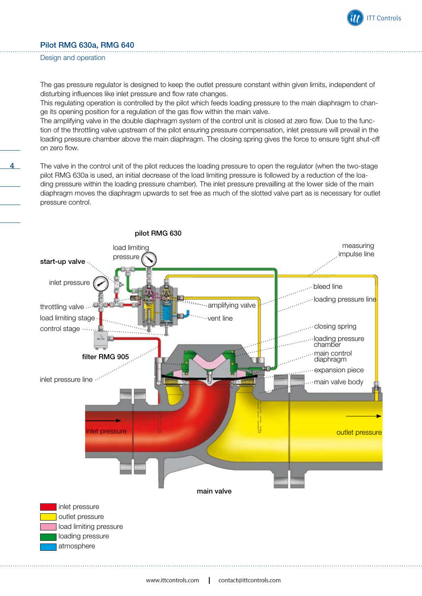

The gas pressure regulator is designed to keep the outlet pressure constant within given limits, independent of disturbing influences like inlet pressure and flow rate changes.

This regulating operation is controlled by the pilot which feeds loading pressure to the main diaphragm to change its opening position for a regulation of the gas flow within the main valve.

The amplifying valve in the double diaphragm system of the control unit is closed at zero flow. Due to the function of the throttling valve upstream of the pilot ensuring pressure compensation, inlet pressure will prevail in the loading pressure chamber above the main diaphragm. The closing spring gives the force to ensure tight shut-off on zero flow.

4 The valve in the control unit of the pilot reduces the loading pressure to open the regulator (when the two-stage pilot RMG 630a is used, an initial decrease of the load limiting pressure is followed by a reduction of the loading pressure within the loading pressure chamber). The inlet pressure prevailling at the lower side of the main diaphragm moves the diaphragm upwards to set free as much of the slotted valve part as is necessary for outlet pressure control.

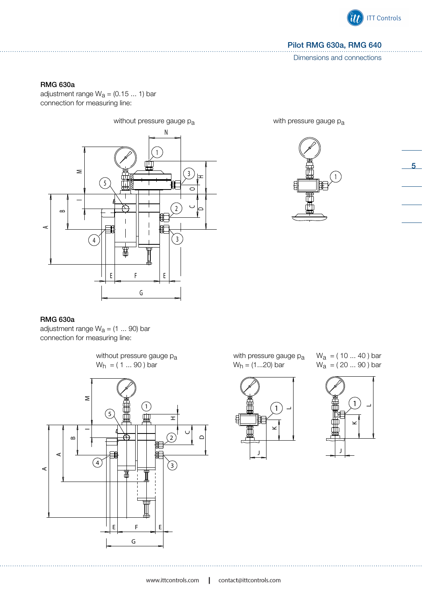

5

#### Pilot RMG 630a, RMG 640

Dimensions and connections

#### RMG 630a

adjustment range  $W_a = (0.15 ... 1)$  bar connection for measuring line:



RMG 630a

adjustment range  $W_a = (1 \dots 90)$  bar connection for measuring line:



with pressure gauge pa  $W_h = (1...20)$  bar



 $W_a = (10 ... 40)$  bar  $W_a = (20...90)$  bar



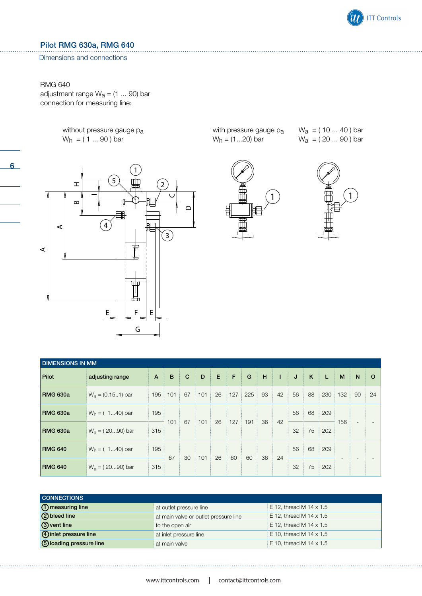

#### Dimensions and connections

#### RMG 640

6

adjustment range  $W_a = (1 \dots 90)$  bar connection for measuring line:

> without pressure gauge pa  $W_h = (1 ... 90)$  bar



with pressure gauge pa  $W_h = (1...20)$  bar

![](_page_5_Picture_8.jpeg)

 $W_a = (10 ... 40)$  bar  $W_a = (20 ... 90)$  bar

![](_page_5_Picture_10.jpeg)

| <b>DIMENSIONS IN MM</b> |                     |                 |     |             |     |    |     |     |    |    |    |    |     |     |                          |         |
|-------------------------|---------------------|-----------------|-----|-------------|-----|----|-----|-----|----|----|----|----|-----|-----|--------------------------|---------|
| Pilot                   | adjusting range     | $\mathsf{A}$    | B   | $\mathbf C$ | D   | E. | F   | G   | H  | T  | J  | K  | L   | M   | N                        | $\circ$ |
| <b>RMG 630a</b>         | $W_a = (0.151)$ bar | $195 \nmid 101$ |     | 67          | 101 | 26 | 127 | 225 | 93 | 42 | 56 | 88 | 230 | 132 | 90                       | 24      |
| <b>RMG 630a</b>         | $W_h = (140)$ bar   | 195             |     | 67          | 101 | 26 | 127 | 191 | 36 | 42 | 56 | 68 | 209 | 156 | $\overline{\phantom{a}}$ |         |
| <b>RMG 630a</b>         | $W_a = (2090)$ bar  | 315             | 101 |             |     |    |     |     |    |    | 32 | 75 | 202 |     |                          |         |
| <b>RMG 640</b>          | $W_h = (140)$ bar   | 195             | 67  | 30          | 101 | 26 | 60  | 60  | 36 | 24 | 56 | 68 | 209 |     |                          |         |
| <b>RMG 640</b>          | $W_a = (2090)$ bar  | 315             |     |             |     |    |     |     |    |    | 32 | 75 | 202 |     |                          |         |

| <b>CONNECTIONS</b>             |                                       |                                     |
|--------------------------------|---------------------------------------|-------------------------------------|
| 10 measuring line              | at outlet pressure line               | $E = 12$ , thread M $14 \times 1.5$ |
| 2 bleed line                   | at main valve or outlet pressure line | E 12, thread M 14 x 1.5             |
| 3) vent line                   | to the open air                       | $E = 12$ , thread M 14 x 1.5        |
| 4) inlet pressure line         | at inlet pressure line                | E 10, thread M 14 x 1.5             |
| <b>5</b> loading pressure line | at main valve                         | $E = 10$ , thread M 14 x 1.5        |